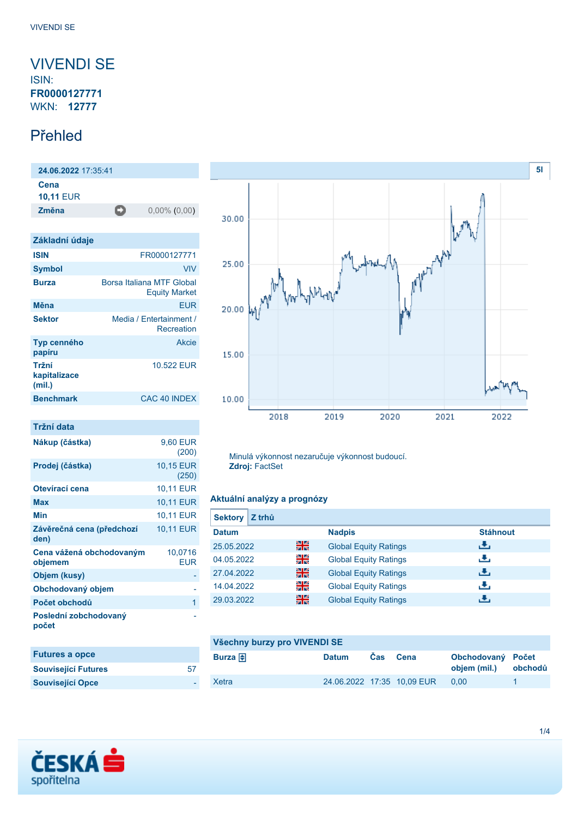## <span id="page-0-0"></span>VIVENDI SE ISIN: **FR0000127771**

WKN: **12777**

## Přehled

**24.06.2022** 17:35:41 **Cena 10,11** EUR **Změna** 0,00% (0,00)

| Základní údaje                  |                                                   |
|---------------------------------|---------------------------------------------------|
| <b>ISIN</b>                     | FR0000127771                                      |
| <b>Symbol</b>                   | VIV                                               |
| <b>Burza</b>                    | Borsa Italiana MTF Global<br><b>Equity Market</b> |
| Měna                            | <b>EUR</b>                                        |
| <b>Sektor</b>                   | Media / Entertainment /<br>Recreation             |
| Typ cenného<br>papíru           | Akcie                                             |
| Tržní<br>kapitalizace<br>(mil.) | 10.522 FUR                                        |
| <b>Benchmark</b>                | CAC 40 INDEX                                      |

## **Tržní data**

| Nákup (částka)                      | 9,60 EUR<br>(200)     |
|-------------------------------------|-----------------------|
| Prodej (částka)                     | 10,15 EUR<br>(250)    |
| Otevírací cena                      | 10,11 EUR             |
| Max                                 | 10,11 EUR             |
| Min                                 | 10,11 EUR             |
| Závěrečná cena (předchozí<br>den)   | 10.11 EUR             |
| Cena vážená obchodovaným<br>objemem | 10,0716<br><b>EUR</b> |
| Objem (kusy)                        |                       |
| Obchodovaný objem                   |                       |
| Počet obchodů                       | 1                     |
| Poslední zobchodovaný<br>počet      |                       |

| <b>Futures a opce</b>      |    |
|----------------------------|----|
| <b>Související Futures</b> | 57 |
| <b>Související Opce</b>    |    |



Minulá výkonnost nezaručuje výkonnost budoucí. **Zdroj:** FactSet

### **Aktuální analýzy a prognózy**

| Z trhů<br><b>Sektory</b> |    |                              |                 |
|--------------------------|----|------------------------------|-----------------|
| <b>Datum</b>             |    | <b>Nadpis</b>                | <b>Stáhnout</b> |
| 25.05.2022               | 읡쭍 | <b>Global Equity Ratings</b> | رنان            |
| 04.05.2022               | 읡k | <b>Global Equity Ratings</b> | J.              |
| 27.04.2022               | 을중 | <b>Global Equity Ratings</b> | J.              |
| 14.04.2022               | 읡k | <b>Global Equity Ratings</b> | J.              |
| 29.03.2022               | 을중 | <b>Global Equity Ratings</b> | J.              |

| Všechny burzy pro VIVENDI SE |              |     |                            |                                   |         |
|------------------------------|--------------|-----|----------------------------|-----------------------------------|---------|
| Burza $\bigoplus$            | <b>Datum</b> | Cas | Cena                       | Obchodovaný Počet<br>objem (mil.) | obchodů |
| Xetra                        |              |     | 24.06.2022 17:35 10.09 EUR | 0.00                              |         |

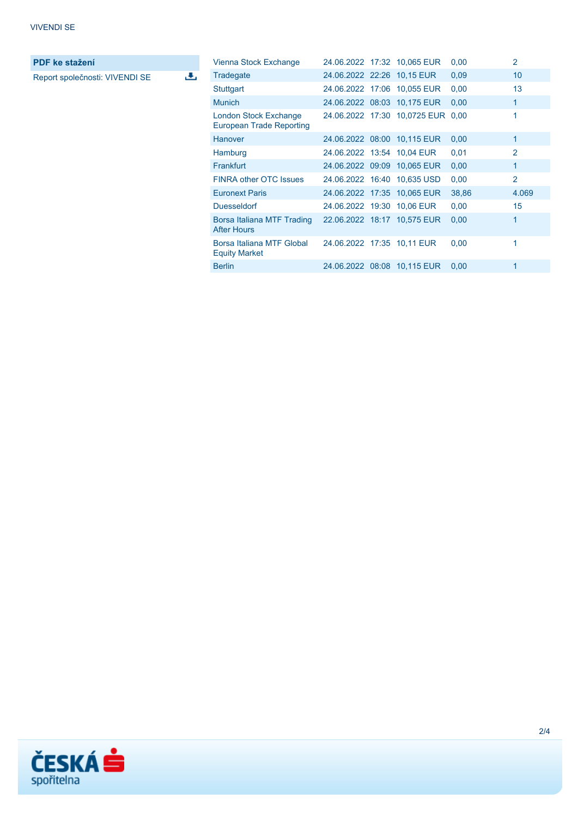**PDF ke stažení**

Report společnosti: VIVENDI SE

 $\overline{\mathbf{t}}$ 

| Vienna Stock Exchange                                    |  | 24.06.2022 17:32 10,065 EUR       | 0,00  | $\overline{2}$  |
|----------------------------------------------------------|--|-----------------------------------|-------|-----------------|
| Tradegate                                                |  | 24.06.2022 22:26 10.15 EUR        | 0,09  | 10 <sup>1</sup> |
| Stuttgart                                                |  | 24.06.2022 17:06 10,055 EUR       | 0.00  | 13              |
| <b>Munich</b>                                            |  | 24.06.2022 08:03 10,175 EUR       | 0,00  | 1               |
| London Stock Exchange<br><b>European Trade Reporting</b> |  | 24.06.2022 17:30 10,0725 EUR 0,00 |       | 1               |
| <b>Hanover</b>                                           |  | 24.06.2022 08:00 10,115 EUR       | 0,00  | 1               |
| Hamburg                                                  |  | 24.06.2022 13:54 10.04 EUR        | 0,01  | $\mathcal{P}$   |
| <b>Frankfurt</b>                                         |  | 24.06.2022 09:09 10,065 EUR       | 0,00  | 1               |
| <b>FINRA other OTC Issues</b>                            |  | 24.06.2022 16:40 10,635 USD       | 0,00  | $\overline{2}$  |
| <b>Euronext Paris</b>                                    |  | 24.06.2022 17:35 10.065 EUR       | 38,86 | 4.069           |
| <b>Duesseldorf</b>                                       |  | 24.06.2022 19:30 10,06 EUR        | 0.00  | 15              |
| Borsa Italiana MTF Trading<br><b>After Hours</b>         |  | 22.06.2022 18:17 10,575 EUR       | 0,00  | 1               |
| Borsa Italiana MTF Global<br><b>Equity Market</b>        |  | 24.06.2022 17:35 10,11 EUR        | 0,00  | 1               |
| <b>Berlin</b>                                            |  | 24.06.2022 08:08 10,115 EUR       | 0,00  | 1               |

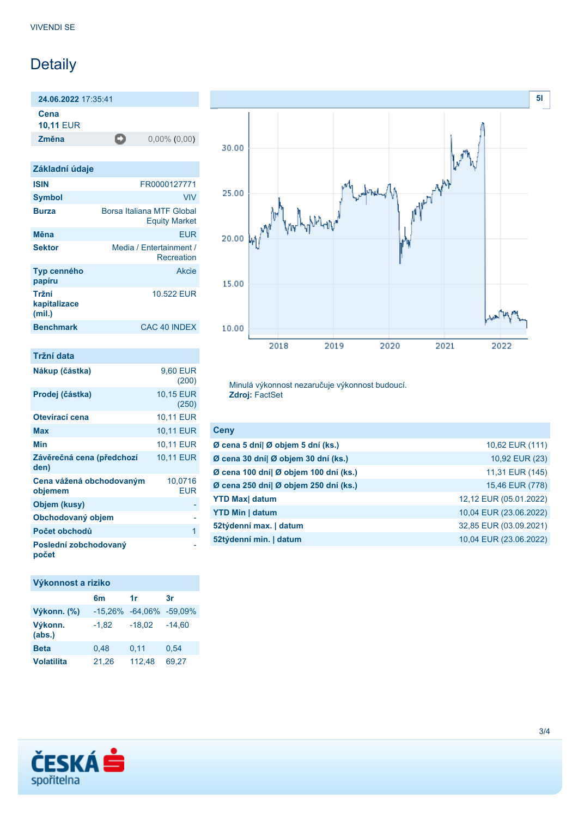# Detaily

**24.06.2022** 17:35:41

**Cena**

**10,11** EUR

**Změna** 0,00% (0,00)

| Základní údaje                  |                                                   |
|---------------------------------|---------------------------------------------------|
| <b>ISIN</b>                     | FR0000127771                                      |
| <b>Symbol</b>                   | <b>VIV</b>                                        |
| <b>Burza</b>                    | Borsa Italiana MTF Global<br><b>Equity Market</b> |
| Měna                            | FUR                                               |
| <b>Sektor</b>                   | Media / Entertainment /<br>Recreation             |
| Typ cenného<br>papíru           | Akcie                                             |
| Tržní<br>kapitalizace<br>(mil.) | 10.522 FUR                                        |
| <b>Benchmark</b>                | CAC 40 INDEX                                      |

| Tržní data                          |                       |
|-------------------------------------|-----------------------|
| Nákup (částka)                      | 9.60 EUR<br>(200)     |
| Prodej (částka)                     | 10,15 EUR<br>(250)    |
| Otevírací cena                      | 10,11 EUR             |
| Max                                 | <b>10,11 EUR</b>      |
| Min                                 | 10,11 EUR             |
| Závěrečná cena (předchozí<br>den)   | 10,11 EUR             |
| Cena vážená obchodovaným<br>objemem | 10,0716<br><b>EUR</b> |
| Objem (kusy)                        |                       |
| Obchodovaný objem                   |                       |
| Počet obchodů                       | 1                     |
| Poslední zobchodovaný<br>počet      |                       |

## **Výkonnost a riziko**

|                   | 6m                  | 1r       | 3r       |
|-------------------|---------------------|----------|----------|
| Výkonn. (%)       | $-15,26\% -64,06\%$ |          | -59.09%  |
| Výkonn.<br>(abs.) | $-1,82$             | $-18,02$ | $-14,60$ |
| <b>Beta</b>       | 0,48                | 0,11     | 0,54     |
| <b>Volatilita</b> | 21,26               | 112,48   | 69.27    |



Minulá výkonnost nezaručuje výkonnost budoucí. **Zdroj:** FactSet

| Ceny                                  |                        |
|---------------------------------------|------------------------|
| Ø cena 5 dní  Ø objem 5 dní (ks.)     | 10,62 EUR (111)        |
| Ø cena 30 dní  Ø objem 30 dní (ks.)   | 10,92 EUR (23)         |
| Ø cena 100 dní  Ø objem 100 dní (ks.) | 11,31 EUR (145)        |
| Ø cena 250 dní  Ø objem 250 dní (ks.) | 15,46 EUR (778)        |
| <b>YTD Max</b> datum                  | 12,12 EUR (05.01.2022) |
| <b>YTD Min   datum</b>                | 10,04 EUR (23.06.2022) |
| 52týdenní max.   datum                | 32,85 EUR (03.09.2021) |
| 52týdenní min.   datum                | 10,04 EUR (23.06.2022) |